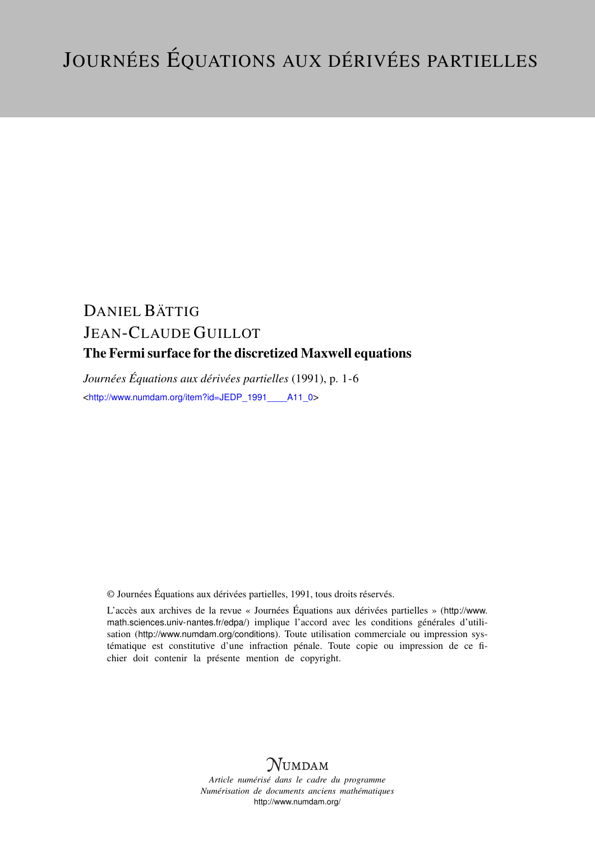# DANIEL BÄTTIG JEAN-CLAUDE GUILLOT The Fermi surface for the discretized Maxwell equations

*Journées Équations aux dérivées partielles* (1991), p. 1-6 <[http://www.numdam.org/item?id=JEDP\\_1991\\_\\_\\_\\_A11\\_0](http://www.numdam.org/item?id=JEDP_1991____A11_0)>

© Journées Équations aux dérivées partielles, 1991, tous droits réservés.

L'accès aux archives de la revue « Journées Équations aux dérivées partielles » ([http://www.](http://www.math.sciences.univ-nantes.fr/edpa/) [math.sciences.univ-nantes.fr/edpa/](http://www.math.sciences.univ-nantes.fr/edpa/)) implique l'accord avec les conditions générales d'utilisation (<http://www.numdam.org/conditions>). Toute utilisation commerciale ou impression systématique est constitutive d'une infraction pénale. Toute copie ou impression de ce fichier doit contenir la présente mention de copyright.



*Article numérisé dans le cadre du programme Numérisation de documents anciens mathématiques* <http://www.numdam.org/>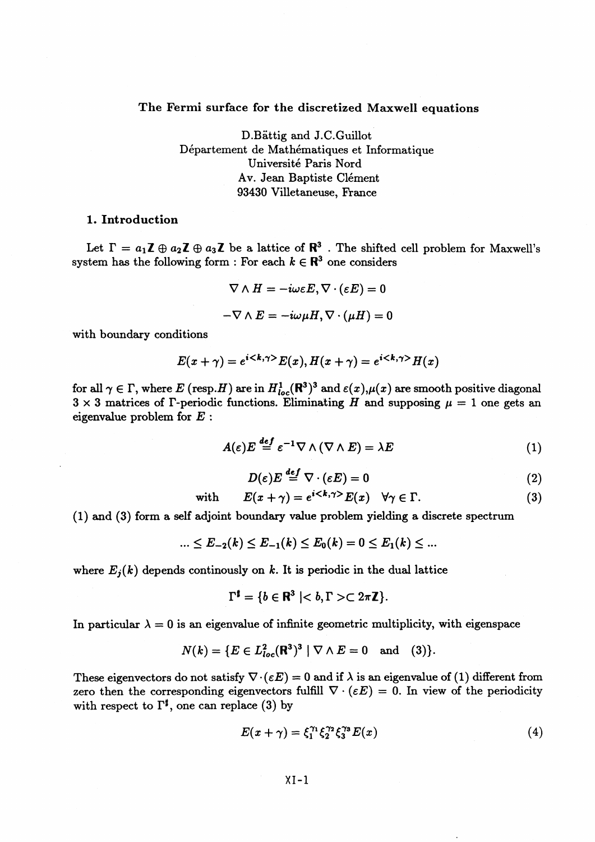# **The Fermi surface for the discretized Maxwell equations**

D.Battig and J.C.Guillot Departement de Mathematiques et Informatique Universite Paris Nord Av. Jean Baptiste Clément 93430 Villetaneuse, France

### **1. Introduction**

Let  $\Gamma = a_1 \mathbb{Z} \oplus a_2 \mathbb{Z} \oplus a_3 \mathbb{Z}$  be a lattice of  $\mathbb{R}^3$  . The shifted cell problem for Maxwell's system has the following form : For each  $k \in \mathbb{R}^3$  one considers

$$
\nabla \wedge H = -i\omega \varepsilon E, \nabla \cdot (\varepsilon E) = 0
$$
  
-
$$
\nabla \wedge E = -i\omega \mu H, \nabla \cdot (\mu H) = 0
$$

with boundary conditions

$$
E(x + \gamma) = e^{i \langle k, \gamma \rangle} E(x), H(x + \gamma) = e^{i \langle k, \gamma \rangle} H(x)
$$

for all  $\gamma \in \Gamma$ , where E (resp.H) are in  $H^1_{loc}(\mathbf{R}^3)^3$  and  $\varepsilon(x), \mu(x)$  are smooth positive diagonal  $3 \times 3$  matrices of  $\Gamma$ -periodic functions. Eliminating H and supposing  $\mu = 1$  one gets an eigenvalue problem for *E :*

$$
A(\varepsilon)E \stackrel{\text{def}}{=} \varepsilon^{-1} \nabla \wedge (\nabla \wedge E) = \lambda E \tag{1}
$$

$$
D(\varepsilon)E \stackrel{def}{=} \nabla \cdot (\varepsilon E) = 0 \tag{2}
$$

with 
$$
E(x + \gamma) = e^{i \langle k, \gamma \rangle} E(x) \quad \forall \gamma \in \Gamma.
$$
 (3)

(1) and (3) form a self adjoint boundary value problem yielding a discrete spectrum

$$
... \leq E_{-2}(k) \leq E_{-1}(k) \leq E_0(k) = 0 \leq E_1(k) \leq ...
$$

where  $E_i(k)$  depends continuously on k. It is periodic in the dual lattice

$$
\Gamma^{\sharp} = \{ b \in \mathbf{R}^3 \mid b, \Gamma > \subset 2\pi \mathbf{Z} \}.
$$

In particular  $\lambda = 0$  is an eigenvalue of infinite geometric multiplicity, with eigenspace

$$
N(k) = \{ E \in L^{2}_{loc}(\mathbf{R}^{3})^{3} \mid \nabla \wedge E = 0 \text{ and } (3) \}.
$$

These eigenvectors do not satisfy  $\nabla \cdot (\varepsilon E) = 0$  and if  $\lambda$  is an eigenvalue of (1) different from zero then the corresponding eigenvectors fulfill  $\nabla \cdot (\varepsilon E) = 0$ . In view of the periodicity with respect to  $\Gamma^{\sharp}$ , one can replace (3) by

$$
E(x + \gamma) = \xi_1^{\gamma_1} \xi_2^{\gamma_2} \xi_3^{\gamma_3} E(x)
$$
 (4)

 $XI-1$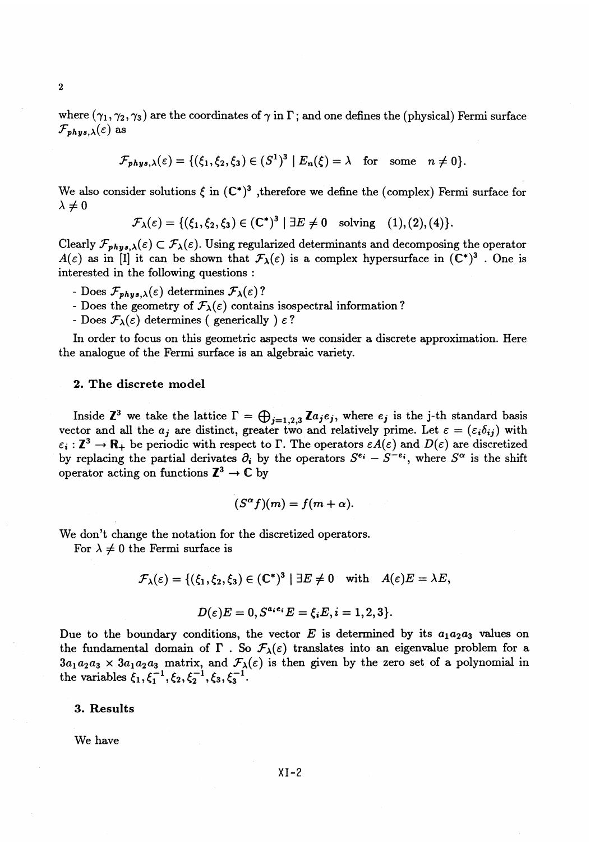where  $(\gamma_1, \gamma_2, \gamma_3)$  are the coordinates of  $\gamma$  in  $\Gamma$ ; and one defines the (physical) Fermi surface  $\mathcal{F}_{phys,\lambda}(\varepsilon)$  as

$$
\mathcal{F}_{phys,\lambda}(\varepsilon) = \{(\xi_1,\xi_2,\xi_3) \in (S^1)^3 \mid E_n(\xi) = \lambda \text{ for some } n \neq 0\}.
$$

We also consider solutions  $\xi$  in  $(\mathbb{C}^*)^3$ , therefore we define the (complex) Fermi surface for  $\lambda \neq 0$ 

$$
\mathcal{F}_{\lambda}(\varepsilon) = \{(\xi_1, \xi_2, \xi_3) \in (\mathbb{C}^*)^3 \mid \exists E \neq 0 \text{ solving } (1), (2), (4)\}.
$$

Clearly  $\mathcal{F}_{phys,\lambda}(\varepsilon) \subset \mathcal{F}_{\lambda}(\varepsilon)$ . Using regularized determinants and decomposing the operator  $A(\varepsilon)$  as in [I] it can be shown that  $\mathcal{F}_{\lambda}(\varepsilon)$  is a complex hypersurface in  $(C^*)^3$ . One is interested in the following questions :

- Does  $\mathcal{F}_{phys,\lambda}(\varepsilon)$  determines  $\mathcal{F}_{\lambda}(\varepsilon)$ ?
- Does the geometry of  $\mathcal{F}_{\lambda}(\varepsilon)$  contains isospectral information?
- Does  $\mathcal{F}_{\lambda}(\varepsilon)$  determines (generically )  $\varepsilon$ ?

In order to focus on this geometric aspects we consider a discrete approximation. Here the analogue of the Fermi surface is an algebraic variety.

#### **2. The discrete model**

Inside  $\mathbb{Z}^3$  we take the lattice  $\Gamma = \bigoplus_{j=1,2,3} \mathbb{Z} a_j e_j$ , where  $e_j$  is the j-th standard basis vector and all the  $a_j$  are distinct, greater two and relatively prime. Let  $\varepsilon = (\varepsilon_i \delta_{ij})$  with  $\varepsilon_i : \mathbb{Z}^3 \to \mathbb{R}_+$  be periodic with respect to  $\Gamma$ . The operators  $\varepsilon A(\varepsilon)$  and  $D(\varepsilon)$  are discretized by replacing the partial derivates  $\partial_i$  by the operators  $S^{\epsilon_i} - S^{-\epsilon_i}$ , where  $S^{\alpha}$  is the shift operator acting on functions  $\mathbb{Z}^3 \to \mathbb{C}$  by

$$
(S^{\alpha}f)(m) = f(m + \alpha).
$$

We don't change the notation for the discretized operators.

For  $\lambda \neq 0$  the Fermi surface is

$$
\mathcal{F}_{\lambda}(\varepsilon) = \{(\xi_1, \xi_2, \xi_3) \in (\mathbb{C}^*)^3 \mid \exists E \neq 0 \text{ with } A(\varepsilon)E = \lambda E,
$$

$$
D(\varepsilon)E=0, S^{a_i e_i}E=\xi_i E, i=1,2,3\}.
$$

Due to the boundary conditions, the vector  $E$  is determined by its  $a_1a_2a_3$  values on the fundamental domain of  $\Gamma$ . So  $\mathcal{F}_{\lambda}(\varepsilon)$  translates into an eigenvalue problem for a  $3a_1a_2a_3 \times 3a_1a_2a_3$  matrix, and  $\mathcal{F}_{\lambda}(\varepsilon)$  is then given by the zero set of a polynomial in the variables  $\xi_1, \xi_1^{-1}, \xi_2, \xi_2^{-1}, \xi_3, \xi_3^{-1}$ .

# **3. Results**

We have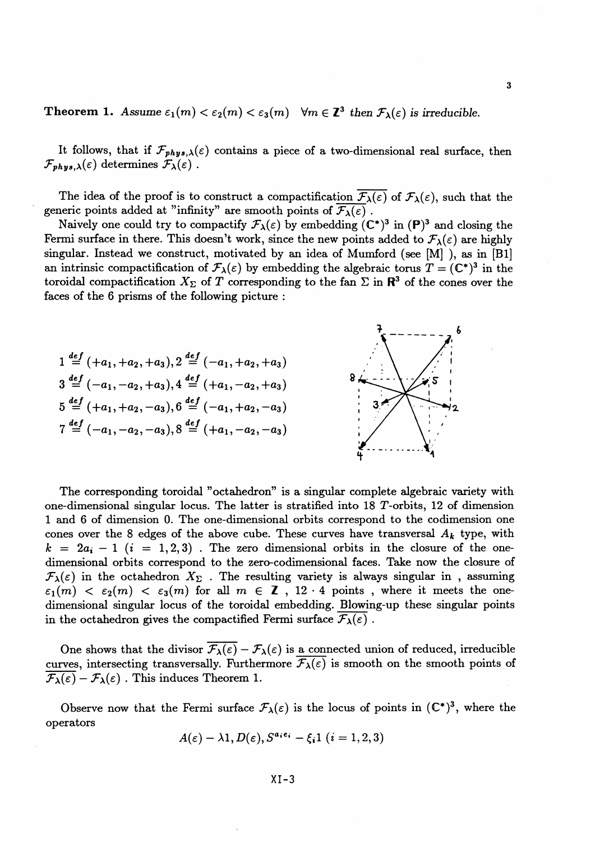# **Theorem 1.** Assume  $\varepsilon_1(m) < \varepsilon_2(m) < \varepsilon_3(m)$   $\forall m \in \mathbb{Z}^3$  then  $\mathcal{F}_\lambda(\varepsilon)$  is irreducible.

It follows, that if  $\mathcal{F}_{phys,\lambda}(\varepsilon)$  contains a piece of a two-dimensional real surface, then  $\mathcal{F}_{phys,\lambda}(\varepsilon)$  determines  $\mathcal{F}_{\lambda}(\varepsilon)$ .

The idea of the proof is to construct a compactification  $\overline{F_\lambda(\varepsilon)}$  of  $\mathcal{F}_\lambda(\varepsilon)$ , such that the generic points added at "infinity" are smooth points of  $\overline{\mathcal{F}_{\lambda}(\varepsilon)}$ .

Naively one could try to compactify  $\mathcal{F}_{\lambda}(\varepsilon)$  by embedding  $(C^*)^3$  in  $(P)^3$  and closing the Fermi surface in there. This doesn't work, since the new points added to  $\mathcal{F}_{\lambda}(\varepsilon)$  are highly singular. Instead we construct, motivated by an idea of Mumford (see [M] ), as in [Bl] an intrinsic compactification of  $\mathcal{F}_{\lambda}(\varepsilon)$  by embedding the algebraic torus  $T = (\mathbb{C}^*)^3$  in the toroidal compactification  $X_{\Sigma}$  of *T* corresponding to the fan  $\Sigma$  in  $\mathbb{R}^3$  of the cones over the faces of the 6 prisms of the following picture :



The corresponding toroidal "octahedron" is a singular complete algebraic variety with one-dimensional singular locus. The latter is stratified into 18 T-orbits, 12 of dimension 1 and 6 of dimension 0. The one-dimensional orbits correspond to the codimension one cones over the 8 edges of the above cube. These curves have transversal  $A_k$  type, with  $k = 2a_i - 1$  ( $i = 1,2,3$ ). The zero dimensional orbits in the closure of the onedimensional orbits correspond to the zero-codimensional faces. Take now the closure of  $\mathcal{F}_{\lambda}(\varepsilon)$  in the octahedron  $X_{\Sigma}$ . The resulting variety is always singular in, assuming  $\epsilon_1(m) < \epsilon_2(m) < \epsilon_3(m)$  for all  $m \in \mathbb{Z}$ , 12 · 4 points, where it meets the onedimensional singular locus of the toroidal embedding. Blowing-up these singular points in the octahedron gives the compactified Fermi surface  $\mathcal{F}_{\lambda}(\varepsilon)$ .

One shows that the divisor  $\mathcal{F}_{\lambda}(\varepsilon) - \mathcal{F}_{\lambda}(\varepsilon)$  is a connected union of reduced, irreducible curves, intersecting transversally. Furthermore  $\mathcal{F}_{\lambda}(\varepsilon)$  is smooth on the smooth points of  $\overline{\mathcal{F}_{\lambda}(\varepsilon)} - \mathcal{F}_{\lambda}(\varepsilon)$ . This induces Theorem 1.

Observe now that the Fermi surface  $\mathcal{F}_{\lambda}(\varepsilon)$  is the locus of points in  $(\mathbb{C}^*)^3$ , where the operators

$$
A(\varepsilon)-\lambda 1, D(\varepsilon), S^{a_i e_i}-\xi_i 1 \ (i=1,2,3)
$$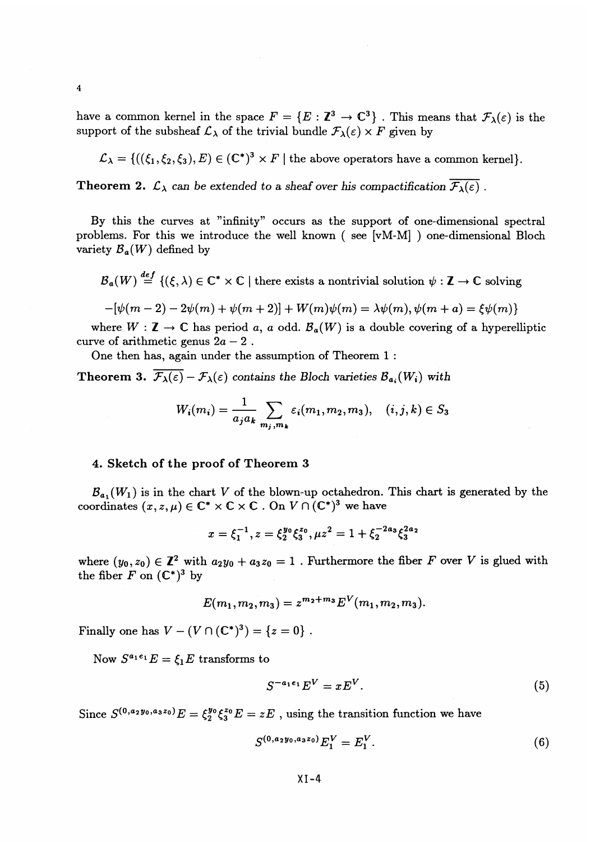have a common kernel in the space  $F = \{E : \mathbb{Z}^3 \to \mathbb{C}^3\}$ . This means that  $\mathcal{F}_\lambda(\varepsilon)$  is the support of the subsheaf  $\mathcal{L}_{\lambda}$  of the trivial bundle  $\mathcal{F}_{\lambda}(\varepsilon) \times F$  given by

$$
\mathcal{L}_{\lambda} = \{((\xi_1, \xi_2, \xi_3), E) \in (\mathbb{C}^*)^3 \times F \mid \text{the above operators have a common kernel}\}.
$$

**Theorem 2.**  $\mathcal{L}_{\lambda}$  can be extended to a sheaf over his compactification  $\overline{\mathcal{F}_{\lambda}(\varepsilon)}$ .

By this the curves at "infinity" occurs as the support of one-dimensional spectral problems. For this we introduce the well known ( see [vM-M] ) one-dimensional Bloch variety  $\mathcal{B}_a(W)$  defined by

 $B_a(W) \stackrel{def}{=} \{(\xi, \lambda) \in \mathbb{C}^* \times \mathbb{C} \mid \text{there exists a nontrivial solution } \psi : \mathbb{Z} \to \mathbb{C} \text{ solving }$ 

$$
-[\psi(m-2)-2\psi(m)+\psi(m+2)]+W(m)\psi(m)=\lambda\psi(m), \psi(m+a)=\xi\psi(m)\}
$$

where  $W : \mathbb{Z} \to \mathbb{C}$  has period a, a odd.  $\mathcal{B}_{a}(W)$  is a double covering of a hyperelliptic curve of arithmetic genus  $2a - 2$ .

One then has, again under the assumption of Theorem 1 :

**Theorem 3.**  $\overline{F_{\lambda}(\varepsilon)} - \mathcal{F}_{\lambda}(\varepsilon)$  contains the Bloch varieties  $\mathcal{B}_{a_i}(W_i)$  with

$$
W_i(m_i) = \frac{1}{a_j a_k} \sum_{m_j, m_k} \varepsilon_i(m_1, m_2, m_3), \quad (i, j, k) \in S_3
$$

#### **4. Sketch of the proof of Theorem 3**

 $B_{a_1}(W_1)$  is in the chart *V* of the blown-up octahedron. This chart is generated by the coordinates  $(x, z, \mu) \in \mathbb{C}^* \times \mathbb{C} \times \mathbb{C}$ . On *V*  $\cap (\mathbb{C}^*)^3$  we have

$$
x = \xi_1^{-1}, z = \xi_2^{y_0} \xi_3^{z_0}, \mu z^2 = 1 + \xi_2^{-2a_3} \xi_3^{2a_2}
$$

where  $(y_0, z_0) \in \mathbb{Z}^2$  with  $a_2y_0 + a_3z_0 = 1$ . Furthermore the fiber *F* over *V* is glued with the fiber  $F$  on  $(\mathbb{C}^*)^3$  by

$$
E(m_1, m_2, m_3) = z^{m_2 + m_3} E^V(m_1, m_2, m_3).
$$

Finally one has  $V - (V \cap (\mathbb{C}^*)^3) = \{z = 0\}$ .

Now  $S^{a_1e_1}E = \xi_1E$  transforms to

$$
S^{-a_1e_1}E^V = xE^V. \tag{5}
$$

Since  $S^{(0,a_2y_0,a_3z_0)}E = \xi_2^{y_0}\xi_3^{z_0}E = zE$  , using the transition function we have

$$
zE, \text{ using the transition function we have}
$$
  

$$
S^{(0,a_2y_0,a_3z_0)}E_1^V = E_1^V. \tag{6}
$$

 $\overline{\mathbf{4}}$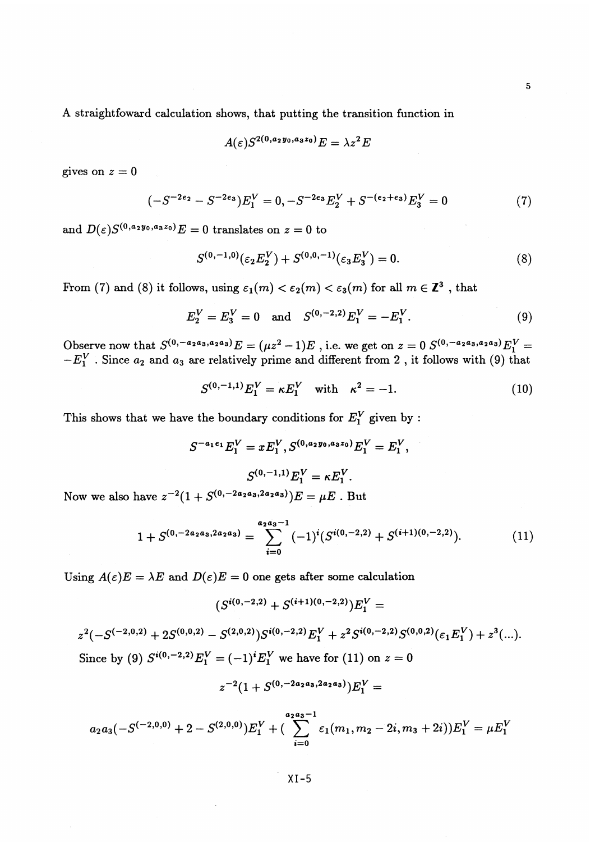A straightfoward calculation shows, that putting the transition function in

$$
A(\varepsilon)S^{2(0,a_2y_0,a_3z_0)}E=\lambda z^2E
$$

gives on  $z=0$ 

$$
(-S^{-2e_2} - S^{-2e_3})E_1^V = 0, -S^{-2e_3}E_2^V + S^{-(e_2+e_3)}E_3^V = 0
$$
\n<sup>(7)</sup>

and  $D(\varepsilon)S^{(0,a_2y_0,a_3z_0)}E=0$  translates on  $z=0$  to

$$
S^{(0,-1,0)}(\varepsilon_2 E_2^V) + S^{(0,0,-1)}(\varepsilon_3 E_3^V) = 0.
$$
 (8)

From (7) and (8) it follows, using  $\varepsilon_1(m) < \varepsilon_2(m) < \varepsilon_3(m)$  for all  $m \in \mathbb{Z}^3$ , that

$$
E_2^V = E_3^V = 0 \text{ and } S^{(0,-2,2)} E_1^V = -E_1^V. \tag{9}
$$

Observe now that  $S^{(0, -a_{2}a_{3}, a_{2}a_{3})}E = (\mu z^{2} - 1)E$ , i.e. we get on  $z = 0$   $S^{(0, -a_{2}a_{3}, a_{2}a_{3})}$  $\int f_a^{a_3, a_2 a_3} E_1^V =$  $-E_1^V$ . Since  $a_2$  and  $a_3$  are relatively prime and different from 2, it follows with (9) that

$$
S^{(0,-1,1)}E_1^V = \kappa E_1^V \text{ with } \kappa^2 = -1. \tag{10}
$$

This shows that we have the boundary conditions for *E^* given by :

$$
S^{-a_1e_1}E_1^V = xE_1^V, S^{(0,a_2y_0,a_3z_0)}E_1^V = E_1^V,
$$
  

$$
S^{(0,-1,1)}E_1^V = \kappa E_1^V.
$$

$$
S^{(0,-1,1)}E_1^V = \kappa E_1^V.
$$
 Now we also have  $z^{-2}(1 + S^{(0,-2a_2a_3,2a_2a_3)})E = \mu E$ . But

$$
1 + S^{(0, -2a_2a_3, 2a_2a_3)} = \sum_{i=0}^{a_2a_3-1} (-1)^i (S^{i(0, -2, 2)} + S^{(i+1)(0, -2, 2)}).
$$
 (11)

Using  $A(\varepsilon)E = \lambda E$  and  $D(\varepsilon)E = 0$  one gets after some calculation

$$
(S^{i(0,-2,2)}+S^{(i+1)(0,-2,2)})E_1^V=
$$

$$
z^{2}(-S^{(-2,0,2)} + 2S^{(0,0,2)} - S^{(2,0,2)})S^{i(0,-2,2)}E_{1}^{V} + z^{2}S^{i(0,-2,2)}S^{(0,0,2)}(\varepsilon_{1}E_{1}^{V}) + z^{3}(...).
$$
  
Since by (9)  $S^{i(0,-2,2)}E_{1}^{V} = (-1)^{i}E_{1}^{V}$  we have for (11) on  $z = 0$ 

$$
z^{-2}(1+S^{(0,-2a_2a_3,2a_2a_3)})E_1^V=
$$

$$
a_2 a_3 (-S^{(-2,0,0)} + 2 - S^{(2,0,0)}) E_1^V + (\sum_{i=0}^{a_2 a_3 - 1} \varepsilon_1(m_1, m_2 - 2i, m_3 + 2i)) E_1^V = \mu E_1^V
$$

XI-5